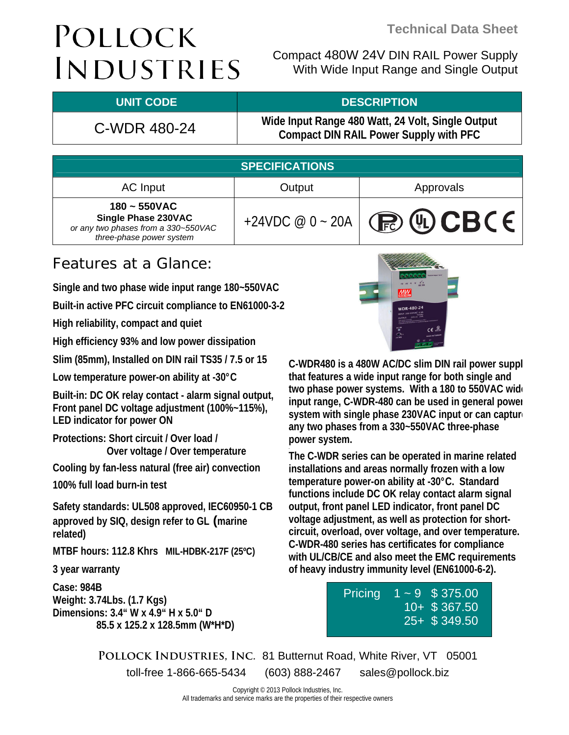Compact 480W 24V DIN RAIL Power Supply With Wide Input Range and Single Output

### **UNIT CODE DESCRIPTION**

C-WDR 480-24 **Wide Input Range 480 Watt, 24 Volt, Single Output Compact DIN RAIL Power Supply with PFC**

| <b>SPECIFICATIONS</b>                                                                                    |                   |               |  |
|----------------------------------------------------------------------------------------------------------|-------------------|---------------|--|
| AC Input                                                                                                 | Output            | Approvals     |  |
| $180 - 550VAC$<br>Single Phase 230VAC<br>or any two phases from a 330~550VAC<br>three-phase power system | +24VDC $@0 - 20A$ | <b>BUCBCE</b> |  |

## Features at a Glance:

**Single and two phase wide input range 180~550VAC** 

**Built-in active PFC circuit compliance to EN61000-3-2** 

**High reliability, compact and quiet** 

**High efficiency 93% and low power dissipation** 

**Slim (85mm), Installed on DIN rail TS35 / 7.5 or 15** 

**Low temperature power-on ability at -30°C** 

**Built-in: DC OK relay contact - alarm signal output, Front panel DC voltage adjustment (100%~115%), LED indicator for power ON** 

**Protections: Short circuit / Over load / Over voltage / Over temperature** 

**Cooling by fan-less natural (free air) convection** 

**100% full load burn-in test** 

**Safety standards: UL508 approved, IEC60950-1 CB approved by SIQ, design refer to GL (marine related)** 

**MTBF hours: 112.8 Khrs MIL-HDBK-217F (25ºC)** 

**3 year warranty** 

**Case: 984B Weight: 3.74Lbs. (1.7 Kgs) Dimensions: 3.4" W x 4.9" H x 5.0" D 85.5 x 125.2 x 128.5mm (W\*H\*D)** 



**C-WDR480 is a 480W AC/DC slim DIN rail power suppl that features a wide input range for both single and two phase power systems. With a 180 to 550VAC wide input range, C-WDR-480 can be used in general power system with single phase 230VAC input or can capture any two phases from a 330~550VAC three-phase power system.** 

**The C-WDR series can be operated in marine related installations and areas normally frozen with a low temperature power-on ability at -30°C. Standard functions include DC OK relay contact alarm signal output, front panel LED indicator, front panel DC voltage adjustment, as well as protection for shortcircuit, overload, over voltage, and over temperature. C-WDR-480 series has certificates for compliance with UL/CB/CE and also meet the EMC requirements of heavy industry immunity level (EN61000-6-2).** 

> Pricing  $1 \sim 9$  \$ 375.00 10+ \$ 367.50 25+ \$ 349.50

**Pollock Industries, Inc.** 81 Butternut Road, White River, VT 05001 toll-free 1-866-665-5434 (603) 888-2467 sales@pollock.biz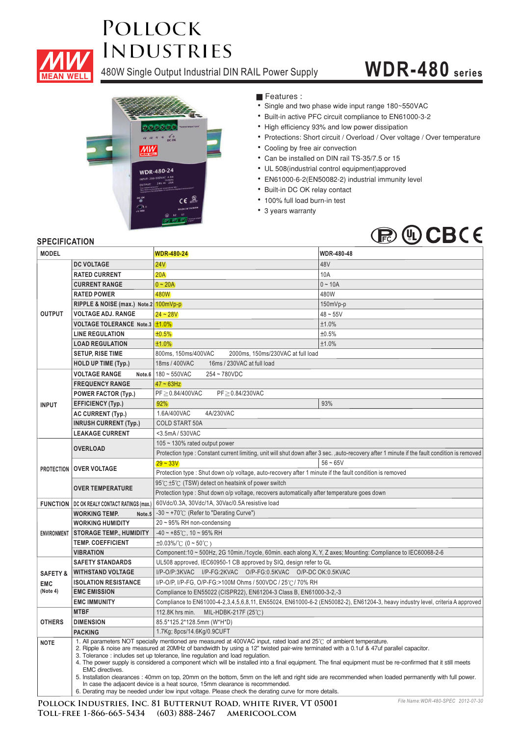

480W Single Output Industrial DIN RAIL Power Supply

# **WDR-480 series**



**Features :** 

- Single and two phase wide input range 180~550VAC
- Built-in active PFC circuit compliance to EN61000-3-2
- High efficiency 93% and low power dissipation
- Protections: Short circuit / Overload / Over voltage / Over temperature
- Cooling by free air convection
- Can be installed on DIN rail TS-35/7.5 or 15
- UL 508(industrial control equipment)approved ¡E¡E¡E¡E¡E¡E¡E¡E¡E¡E¡E
- EN61000-6-2(EN50082-2) industrial immunity level
- Built-in DC OK relay contact
- 100% full load burn-in test
- 3 years warranty



### **SPECIFICATION**

| <b>MODEL</b>                                |                                                                                                                                                                                                                                                                                                                                                                                                                                                                                                                                                                                                                                                                                                                                                                                   | <b>WDR-480-24</b>                                                                                                                       | WDR-480-48                                                                                                                                   |  |
|---------------------------------------------|-----------------------------------------------------------------------------------------------------------------------------------------------------------------------------------------------------------------------------------------------------------------------------------------------------------------------------------------------------------------------------------------------------------------------------------------------------------------------------------------------------------------------------------------------------------------------------------------------------------------------------------------------------------------------------------------------------------------------------------------------------------------------------------|-----------------------------------------------------------------------------------------------------------------------------------------|----------------------------------------------------------------------------------------------------------------------------------------------|--|
|                                             | <b>DC VOLTAGE</b>                                                                                                                                                                                                                                                                                                                                                                                                                                                                                                                                                                                                                                                                                                                                                                 | <b>24V</b>                                                                                                                              | 48V                                                                                                                                          |  |
| <b>OUTPUT</b>                               | <b>RATED CURRENT</b>                                                                                                                                                                                                                                                                                                                                                                                                                                                                                                                                                                                                                                                                                                                                                              | 20A                                                                                                                                     | 10A                                                                                                                                          |  |
|                                             | <b>CURRENT RANGE</b>                                                                                                                                                                                                                                                                                                                                                                                                                                                                                                                                                                                                                                                                                                                                                              | $0 - 20A$                                                                                                                               | $0 - 10A$                                                                                                                                    |  |
|                                             | <b>RATED POWER</b>                                                                                                                                                                                                                                                                                                                                                                                                                                                                                                                                                                                                                                                                                                                                                                | 480W                                                                                                                                    | 480W                                                                                                                                         |  |
|                                             | RIPPLE & NOISE (max.) Note.2                                                                                                                                                                                                                                                                                                                                                                                                                                                                                                                                                                                                                                                                                                                                                      | $100mVp-p$                                                                                                                              | 150mVp-p                                                                                                                                     |  |
|                                             | <b>VOLTAGE ADJ. RANGE</b>                                                                                                                                                                                                                                                                                                                                                                                                                                                                                                                                                                                                                                                                                                                                                         | $24 - 28V$                                                                                                                              | $48 - 55V$                                                                                                                                   |  |
|                                             | <b>VOLTAGE TOLERANCE Note.3</b>                                                                                                                                                                                                                                                                                                                                                                                                                                                                                                                                                                                                                                                                                                                                                   | ±1.0%                                                                                                                                   | ±1.0%                                                                                                                                        |  |
|                                             | <b>LINE REGULATION</b>                                                                                                                                                                                                                                                                                                                                                                                                                                                                                                                                                                                                                                                                                                                                                            | ±0.5%                                                                                                                                   | ±0.5%                                                                                                                                        |  |
|                                             | <b>LOAD REGULATION</b>                                                                                                                                                                                                                                                                                                                                                                                                                                                                                                                                                                                                                                                                                                                                                            | ±1.0%                                                                                                                                   | ±1.0%                                                                                                                                        |  |
|                                             | <b>SETUP, RISE TIME</b>                                                                                                                                                                                                                                                                                                                                                                                                                                                                                                                                                                                                                                                                                                                                                           | 800ms, 150ms/400VAC<br>2000ms, 150ms/230VAC at full load                                                                                |                                                                                                                                              |  |
|                                             | <b>HOLD UP TIME (Typ.)</b>                                                                                                                                                                                                                                                                                                                                                                                                                                                                                                                                                                                                                                                                                                                                                        | 18ms / 400VAC<br>16ms / 230VAC at full load                                                                                             |                                                                                                                                              |  |
|                                             | <b>VOLTAGE RANGE</b><br>Note.6                                                                                                                                                                                                                                                                                                                                                                                                                                                                                                                                                                                                                                                                                                                                                    | $180 \sim 550$ VAC<br>254~780VDC                                                                                                        |                                                                                                                                              |  |
| <b>INPUT</b>                                | <b>FREQUENCY RANGE</b>                                                                                                                                                                                                                                                                                                                                                                                                                                                                                                                                                                                                                                                                                                                                                            | $47 - 63$ Hz                                                                                                                            |                                                                                                                                              |  |
|                                             | <b>POWER FACTOR (Typ.)</b>                                                                                                                                                                                                                                                                                                                                                                                                                                                                                                                                                                                                                                                                                                                                                        | PF ≥ 0.84/400VAC<br>PF ≥ 0.84/230VAC                                                                                                    |                                                                                                                                              |  |
|                                             | <b>EFFICIENCY (Typ.)</b>                                                                                                                                                                                                                                                                                                                                                                                                                                                                                                                                                                                                                                                                                                                                                          | 92%                                                                                                                                     | 93%                                                                                                                                          |  |
|                                             | AC CURRENT (Typ.)                                                                                                                                                                                                                                                                                                                                                                                                                                                                                                                                                                                                                                                                                                                                                                 | 1.6A/400VAC<br>4A/230VAC                                                                                                                |                                                                                                                                              |  |
|                                             | <b>INRUSH CURRENT (Typ.)</b>                                                                                                                                                                                                                                                                                                                                                                                                                                                                                                                                                                                                                                                                                                                                                      | <b>COLD START 50A</b>                                                                                                                   |                                                                                                                                              |  |
| <b>LEAKAGE CURRENT</b>                      |                                                                                                                                                                                                                                                                                                                                                                                                                                                                                                                                                                                                                                                                                                                                                                                   | <3.5mA / 530VAC                                                                                                                         |                                                                                                                                              |  |
|                                             | <b>OVERLOAD</b>                                                                                                                                                                                                                                                                                                                                                                                                                                                                                                                                                                                                                                                                                                                                                                   | 105 $\sim$ 130% rated output power                                                                                                      |                                                                                                                                              |  |
|                                             |                                                                                                                                                                                                                                                                                                                                                                                                                                                                                                                                                                                                                                                                                                                                                                                   |                                                                                                                                         | Protection type: Constant current limiting, unit will shut down after 3 sec., auto-recovery after 1 minute if the fault condition is removed |  |
|                                             | PROTECTION   OVER VOLTAGE                                                                                                                                                                                                                                                                                                                                                                                                                                                                                                                                                                                                                                                                                                                                                         | $29 - 33V$                                                                                                                              | $56 - 65V$                                                                                                                                   |  |
|                                             |                                                                                                                                                                                                                                                                                                                                                                                                                                                                                                                                                                                                                                                                                                                                                                                   | Protection type : Shut down o/p voltage, auto-recovery after 1 minute if the fault condition is removed                                 |                                                                                                                                              |  |
| <b>OVER TEMPERATURE</b>                     |                                                                                                                                                                                                                                                                                                                                                                                                                                                                                                                                                                                                                                                                                                                                                                                   | 95℃ ±5℃ (TSW) detect on heatsink of power switch                                                                                        |                                                                                                                                              |  |
|                                             |                                                                                                                                                                                                                                                                                                                                                                                                                                                                                                                                                                                                                                                                                                                                                                                   | Protection type : Shut down o/p voltage, recovers automatically after temperature goes down                                             |                                                                                                                                              |  |
|                                             | <b>FUNCTION   DC OK REALY CONTACT RATINGS (max.)</b>                                                                                                                                                                                                                                                                                                                                                                                                                                                                                                                                                                                                                                                                                                                              | 60Vdc/0.3A, 30Vdc/1A, 30Vac/0.5A resistive load                                                                                         |                                                                                                                                              |  |
|                                             | <b>WORKING TEMP.</b><br>Note.5                                                                                                                                                                                                                                                                                                                                                                                                                                                                                                                                                                                                                                                                                                                                                    | $-30 \sim +70^{\circ}$ (Refer to "Derating Curve")                                                                                      |                                                                                                                                              |  |
|                                             | <b>WORKING HUMIDITY</b>                                                                                                                                                                                                                                                                                                                                                                                                                                                                                                                                                                                                                                                                                                                                                           | $20 \sim 95\%$ RH non-condensing                                                                                                        |                                                                                                                                              |  |
|                                             | <b>ENVIRONMENT STORAGE TEMP., HUMIDITY</b>                                                                                                                                                                                                                                                                                                                                                                                                                                                                                                                                                                                                                                                                                                                                        | $-40 \sim +85^{\circ}$ C, 10 ~ 95% RH                                                                                                   |                                                                                                                                              |  |
|                                             | <b>TEMP. COEFFICIENT</b>                                                                                                                                                                                                                                                                                                                                                                                                                                                                                                                                                                                                                                                                                                                                                          | $\pm 0.03\%$ (0 ~ 50°C)<br>Component:10 ~ 500Hz, 2G 10min./1cycle, 60min. each along X, Y, Z axes; Mounting: Compliance to IEC60068-2-6 |                                                                                                                                              |  |
| <b>VIBRATION</b><br><b>SAFETY STANDARDS</b> |                                                                                                                                                                                                                                                                                                                                                                                                                                                                                                                                                                                                                                                                                                                                                                                   | UL508 approved, IEC60950-1 CB approved by SIQ, design refer to GL                                                                       |                                                                                                                                              |  |
|                                             | <b>WITHSTAND VOLTAGE</b>                                                                                                                                                                                                                                                                                                                                                                                                                                                                                                                                                                                                                                                                                                                                                          | I/P-O/P:3KVAC I/P-FG:2KVAC O/P-FG:0.5KVAC O/P-DCOK:0.5KVAC                                                                              |                                                                                                                                              |  |
| <b>SAFETY &amp;</b>                         | <b>ISOLATION RESISTANCE</b>                                                                                                                                                                                                                                                                                                                                                                                                                                                                                                                                                                                                                                                                                                                                                       |                                                                                                                                         |                                                                                                                                              |  |
| <b>EMC</b><br>(Note 4)                      | I/P-O/P, I/P-FG, O/P-FG:>100M Ohms / 500VDC / 25℃/ 70% RH<br><b>EMC EMISSION</b><br>Compliance to EN55022 (CISPR22), EN61204-3 Class B, EN61000-3-2,-3<br>Compliance to EN61000-4-2,3,4,5,6,8,11, EN55024, EN61000-6-2 (EN50082-2), EN61204-3, heavy industry level, criteria A approved<br><b>EMC IMMUNITY</b>                                                                                                                                                                                                                                                                                                                                                                                                                                                                   |                                                                                                                                         |                                                                                                                                              |  |
|                                             |                                                                                                                                                                                                                                                                                                                                                                                                                                                                                                                                                                                                                                                                                                                                                                                   |                                                                                                                                         |                                                                                                                                              |  |
| <b>MTBF</b>                                 |                                                                                                                                                                                                                                                                                                                                                                                                                                                                                                                                                                                                                                                                                                                                                                                   | 112.8K hrs min.<br>MIL-HDBK-217F (25℃)                                                                                                  |                                                                                                                                              |  |
| <b>OTHERS</b>                               | <b>DIMENSION</b>                                                                                                                                                                                                                                                                                                                                                                                                                                                                                                                                                                                                                                                                                                                                                                  | 85.5*125.2*128.5mm (W*H*D)                                                                                                              |                                                                                                                                              |  |
|                                             | <b>PACKING</b>                                                                                                                                                                                                                                                                                                                                                                                                                                                                                                                                                                                                                                                                                                                                                                    | 1.7Kg; 8pcs/14.6Kg/0.9CUFT                                                                                                              |                                                                                                                                              |  |
| <b>NOTE</b>                                 | 1. All parameters NOT specially mentioned are measured at 400VAC input, rated load and 25°C of ambient temperature.<br>2. Ripple & noise are measured at 20MHz of bandwidth by using a 12" twisted pair-wire terminated with a 0.1uf & 47uf parallel capacitor.<br>3. Tolerance : includes set up tolerance, line regulation and load regulation.<br>4. The power supply is considered a component which will be installed into a final equipment. The final equipment must be re-confirmed that it still meets<br><b>EMC</b> directives.<br>5. Installation clearances: 40mm on top, 20mm on the bottom, 5mm on the left and right side are recommended when loaded permanently with full power.<br>In case the adjacent device is a heat source, 15mm clearance is recommended. |                                                                                                                                         |                                                                                                                                              |  |
|                                             |                                                                                                                                                                                                                                                                                                                                                                                                                                                                                                                                                                                                                                                                                                                                                                                   | 6. Derating may be needed under low input voltage. Please check the derating curve for more details.                                    |                                                                                                                                              |  |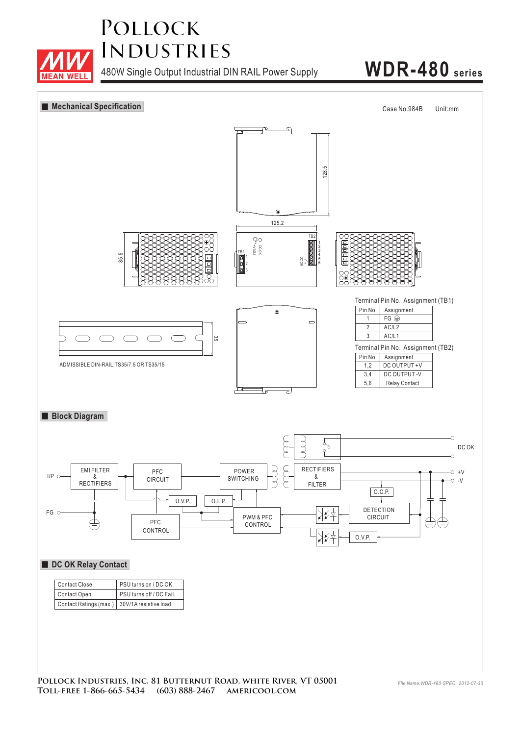

480W Single Output Industrial DIN RAIL Power Supply **WDR-480 series**